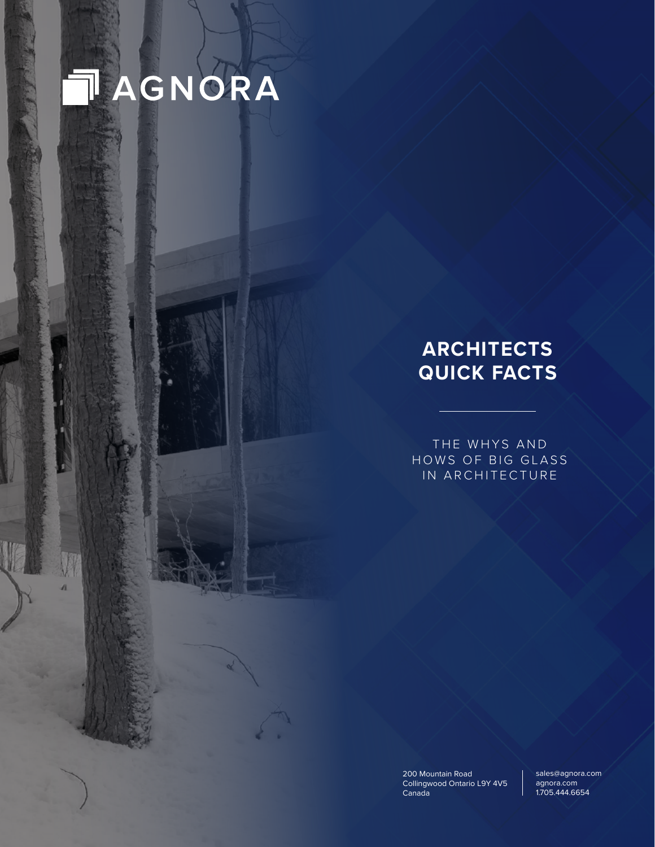# TAGNORA

April 2020, Version 1.0. Under strict confidentiality conditions. All rights reserved. No part of this document may be reproduced, stored in a retrieval system or transmitted in any form or by any means electronic, mechanic, photocopying, recording or otherwise passed to or disclosed to any third party without the prior written consent

 $\overline{\mathbf{a}}$ 

## **ARCHITECTS QUICK FACTS**

THE WHYS AND HOWS OF BIG GLASS IN ARCHITECTURE

Collingwood Ontario L9Y 4V5 Canada **Canada** 200 Mountain Road

agnora.com agnora.com 1.705.444.6654 sales@agnora.com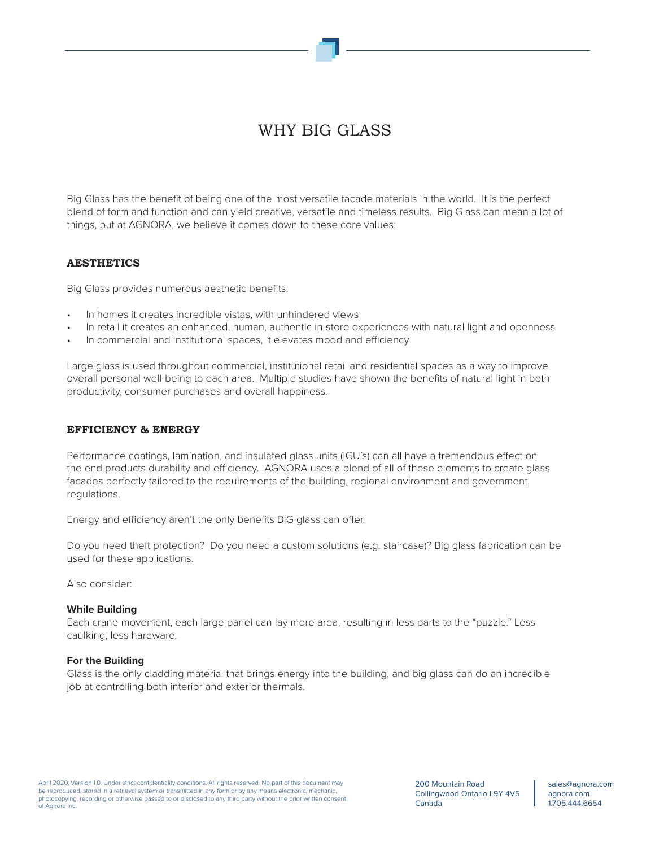## WHY BIG GLASS

Big Glass has the benefit of being one of the most versatile facade materials in the world. It is the perfect blend of form and function and can yield creative, versatile and timeless results. Big Glass can mean a lot of things, but at AGNORA, we believe it comes down to these core values:

#### **AESTHETICS**

Big Glass provides numerous aesthetic benefits:

- In homes it creates incredible vistas, with unhindered views
- In retail it creates an enhanced, human, authentic in-store experiences with natural light and openness
- In commercial and institutional spaces, it elevates mood and efficiency

Large glass is used throughout commercial, institutional retail and residential spaces as a way to improve overall personal well-being to each area. Multiple studies have shown the benefits of natural light in both productivity, consumer purchases and overall happiness.

#### **EFFICIENCY & ENERGY**

Performance coatings, lamination, and insulated glass units (IGU's) can all have a tremendous effect on the end products durability and efficiency. AGNORA uses a blend of all of these elements to create glass facades perfectly tailored to the requirements of the building, regional environment and government regulations.

Energy and efficiency aren't the only benefits BIG glass can offer.

Do you need theft protection? Do you need a custom solutions (e.g. staircase)? Big glass fabrication can be used for these applications.

Also consider:

#### **While Building**

Each crane movement, each large panel can lay more area, resulting in less parts to the "puzzle." Less caulking, less hardware.

#### **For the Building**

Glass is the only cladding material that brings energy into the building, and big glass can do an incredible job at controlling both interior and exterior thermals.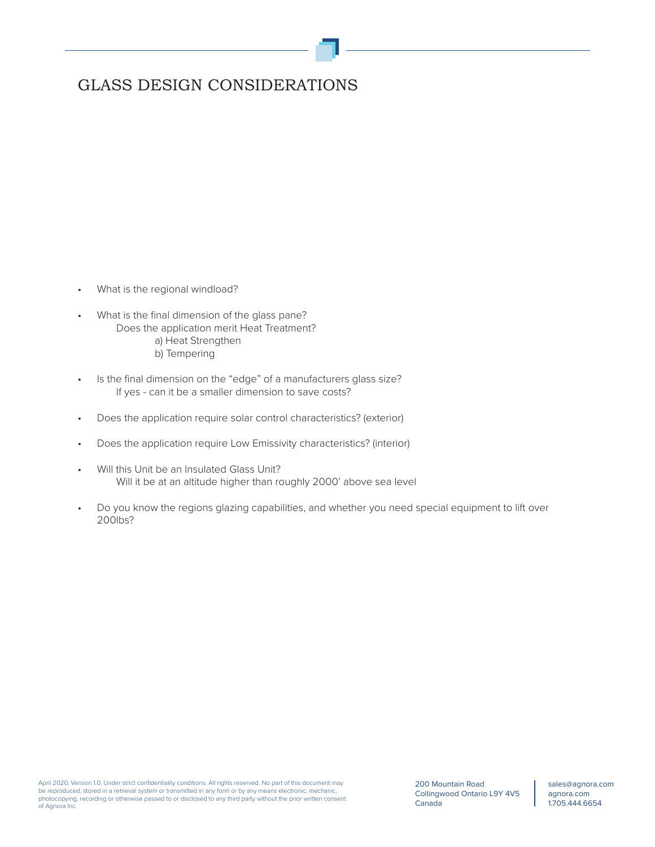## GLASS DESIGN CONSIDERATIONS

- What is the regional windload?
- What is the final dimension of the glass pane? Does the application merit Heat Treatment? a) Heat Strengthen b) Tempering
- Is the final dimension on the "edge" of a manufacturers glass size? If yes - can it be a smaller dimension to save costs?
- Does the application require solar control characteristics? (exterior)
- Does the application require Low Emissivity characteristics? (interior)
- Will this Unit be an Insulated Glass Unit? Will it be at an altitude higher than roughly 2000' above sea level
- Do you know the regions glazing capabilities, and whether you need special equipment to lift over 200lbs?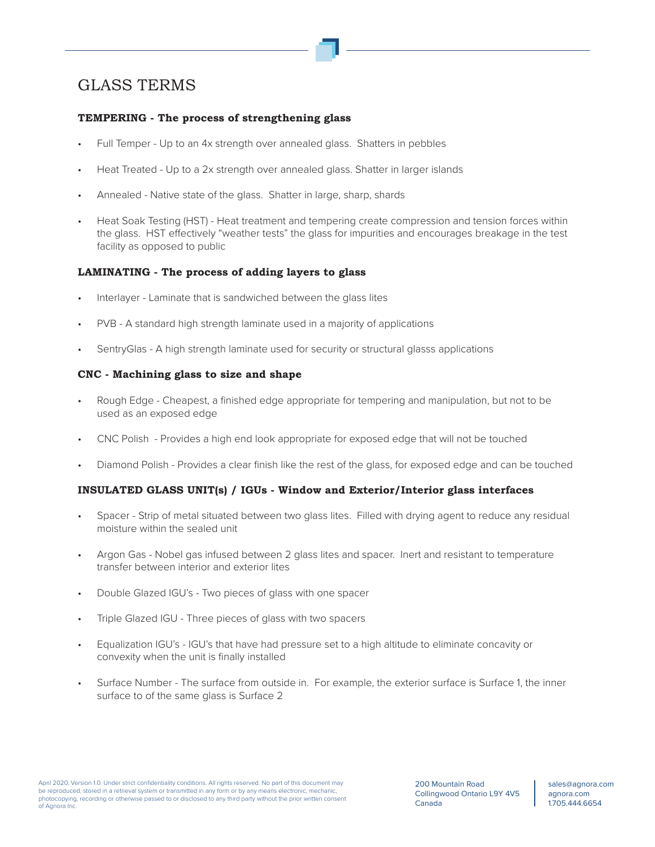## GLASS TERMS

#### **TEMPERING - The process of strengthening glass**

- Full Temper Up to an 4x strength over annealed glass. Shatters in pebbles
- Heat Treated Up to a 2x strength over annealed glass. Shatter in larger islands
- Annealed Native state of the glass. Shatter in large, sharp, shards
- Heat Soak Testing (HST) Heat treatment and tempering create compression and tension forces within the glass. HST effectively "weather tests" the glass for impurities and encourages breakage in the test facility as opposed to public

#### **LAMINATING - The process of adding layers to glass**

- Interlayer Laminate that is sandwiched between the glass lites
- PVB A standard high strength laminate used in a majority of applications
- SentryGlas A high strength laminate used for security or structural glasss applications

#### **CNC - Machining glass to size and shape**

- Rough Edge Cheapest, a finished edge appropriate for tempering and manipulation, but not to be used as an exposed edge
- CNC Polish Provides a high end look appropriate for exposed edge that will not be touched
- Diamond Polish Provides a clear finish like the rest of the glass, for exposed edge and can be touched

#### **INSULATED GLASS UNIT(s) / IGUs - Window and Exterior/Interior glass interfaces**

- Spacer Strip of metal situated between two glass lites. Filled with drying agent to reduce any residual moisture within the sealed unit
- Argon Gas Nobel gas infused between 2 glass lites and spacer. Inert and resistant to temperature transfer between interior and exterior lites
- Double Glazed IGU's Two pieces of glass with one spacer
- Triple Glazed IGU Three pieces of glass with two spacers
- Equalization IGU's IGU's that have had pressure set to a high altitude to eliminate concavity or convexity when the unit is finally installed
- Surface Number The surface from outside in. For example, the exterior surface is Surface 1, the inner surface to of the same glass is Surface 2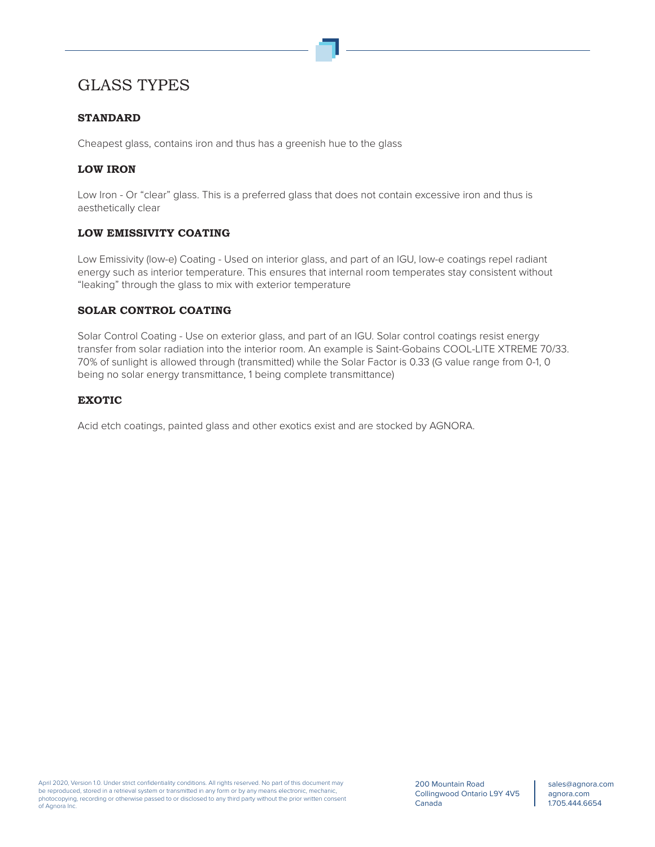### GLASS TYPES

#### **STANDARD**

Cheapest glass, contains iron and thus has a greenish hue to the glass

#### **LOW IRON**

Low Iron - Or "clear" glass. This is a preferred glass that does not contain excessive iron and thus is aesthetically clear

#### **LOW EMISSIVITY COATING**

Low Emissivity (low-e) Coating - Used on interior glass, and part of an IGU, low-e coatings repel radiant energy such as interior temperature. This ensures that internal room temperates stay consistent without "leaking" through the glass to mix with exterior temperature

#### **SOLAR CONTROL COATING**

Solar Control Coating - Use on exterior glass, and part of an IGU. Solar control coatings resist energy transfer from solar radiation into the interior room. An example is Saint-Gobains COOL-LITE XTREME 70/33. 70% of sunlight is allowed through (transmitted) while the Solar Factor is 0.33 (G value range from 0-1, 0 being no solar energy transmittance, 1 being complete transmittance)

#### **EXOTIC**

Acid etch coatings, painted glass and other exotics exist and are stocked by AGNORA.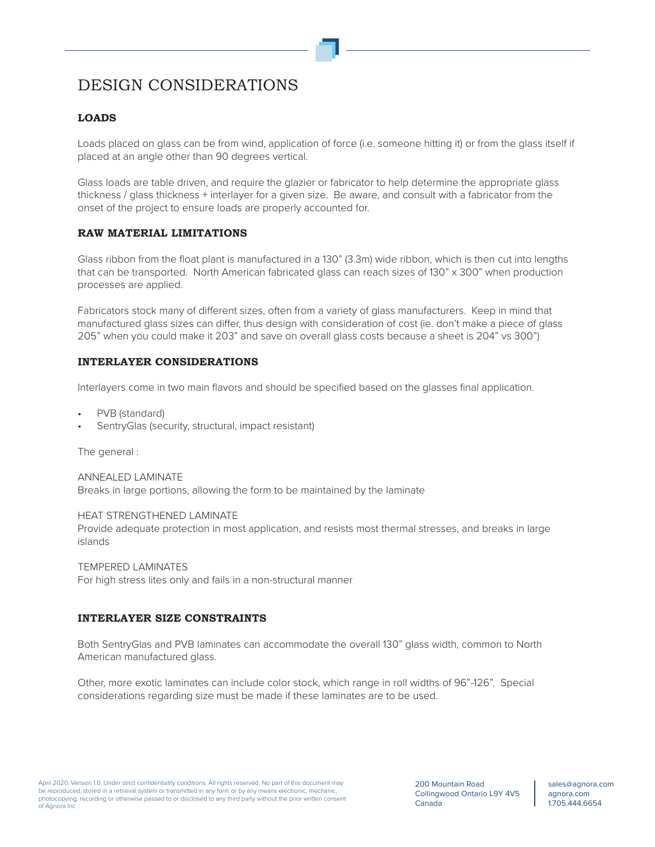## DESIGN CONSIDERATIONS

#### **LOADS**

Loads placed on glass can be from wind, application of force (i.e. someone hitting it) or from the glass itself if placed at an angle other than 90 degrees vertical.

Glass loads are table driven, and require the glazier or fabricator to help determine the appropriate glass thickness / glass thickness + interlayer for a given size. Be aware, and consult with a fabricator from the onset of the project to ensure loads are properly accounted for.

#### **RAW MATERIAL LIMITATIONS**

Glass ribbon from the float plant is manufactured in a 130" (3.3m) wide ribbon, which is then cut into lengths that can be transported. North American fabricated glass can reach sizes of 130" x 300" when production processes are applied.

Fabricators stock many of different sizes, often from a variety of glass manufacturers. Keep in mind that manufactured glass sizes can differ, thus design with consideration of cost (ie. don't make a piece of glass 205" when you could make it 203" and save on overall glass costs because a sheet is 204" vs 300")

#### **INTERLAYER CONSIDERATIONS**

Interlayers come in two main flavors and should be specified based on the glasses final application.

- PVB (standard)
- SentryGlas (security, structural, impact resistant)

The general :

ANNEALED LAMINATE Breaks in large portions, allowing the form to be maintained by the laminate

HEAT STRENGTHENED LAMINATE Provide adequate protection in most application, and resists most thermal stresses, and breaks in large islands

TEMPERED LAMINATES For high stress lites only and fails in a non-structural manner

#### **INTERLAYER SIZE CONSTRAINTS**

Both SentryGlas and PVB laminates can accommodate the overall 130" glass width, common to North American manufactured glass.

Other, more exotic laminates can include color stock, which range in roll widths of 96"-126". Special considerations regarding size must be made if these laminates are to be used.